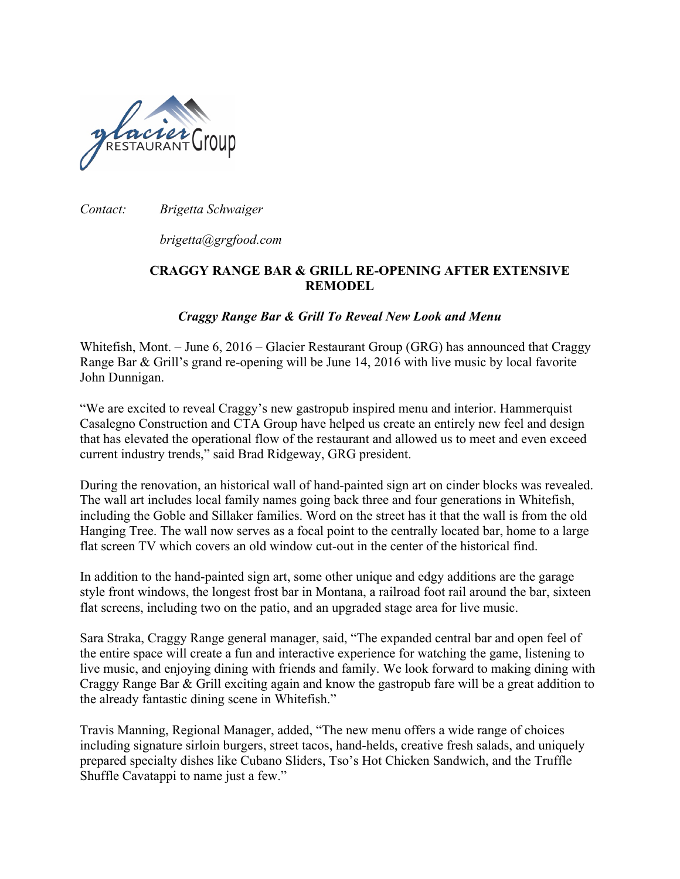

*Contact: Brigetta Schwaiger*

*brigetta@grgfood.com*

## **CRAGGY RANGE BAR & GRILL RE-OPENING AFTER EXTENSIVE REMODEL**

## *Craggy Range Bar & Grill To Reveal New Look and Menu*

Whitefish, Mont. – June 6, 2016 – Glacier Restaurant Group (GRG) has announced that Craggy Range Bar & Grill's grand re-opening will be June 14, 2016 with live music by local favorite John Dunnigan.

"We are excited to reveal Craggy's new gastropub inspired menu and interior. Hammerquist Casalegno Construction and CTA Group have helped us create an entirely new feel and design that has elevated the operational flow of the restaurant and allowed us to meet and even exceed current industry trends," said Brad Ridgeway, GRG president.

During the renovation, an historical wall of hand-painted sign art on cinder blocks was revealed. The wall art includes local family names going back three and four generations in Whitefish, including the Goble and Sillaker families. Word on the street has it that the wall is from the old Hanging Tree. The wall now serves as a focal point to the centrally located bar, home to a large flat screen TV which covers an old window cut-out in the center of the historical find.

In addition to the hand-painted sign art, some other unique and edgy additions are the garage style front windows, the longest frost bar in Montana, a railroad foot rail around the bar, sixteen flat screens, including two on the patio, and an upgraded stage area for live music.

Sara Straka, Craggy Range general manager, said, "The expanded central bar and open feel of the entire space will create a fun and interactive experience for watching the game, listening to live music, and enjoying dining with friends and family. We look forward to making dining with Craggy Range Bar & Grill exciting again and know the gastropub fare will be a great addition to the already fantastic dining scene in Whitefish."

Travis Manning, Regional Manager, added, "The new menu offers a wide range of choices including signature sirloin burgers, street tacos, hand-helds, creative fresh salads, and uniquely prepared specialty dishes like Cubano Sliders, Tso's Hot Chicken Sandwich, and the Truffle Shuffle Cavatappi to name just a few."